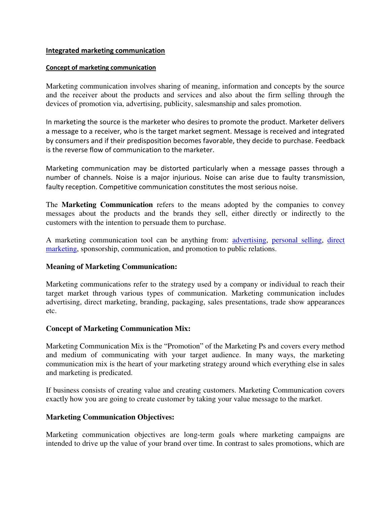#### **Integrated marketing communication**

#### **Concept of marketing communication**

Marketing communication involves sharing of meaning, information and concepts by the source and the receiver about the products and services and also about the firm selling through the devices of promotion via, advertising, publicity, salesmanship and sales promotion.

In marketing the source is the marketer who desires to promote the product. Marketer delivers a message to a receiver, who is the target market segment. Message is received and integrated by consumers and if their predisposition becomes favorable, they decide to purchase. Feedback is the reverse flow of communication to the marketer.

Marketing communication may be distorted particularly when a message passes through a number of channels. Noise is a major injurious. Noise can arise due to faulty transmission, faulty reception. Competitive communication constitutes the most serious noise.

The **Marketing Communication** refers to the means adopted by the companies to convey messages about the products and the brands they sell, either directly or indirectly to the customers with the intention to persuade them to purchase.

A marketing communication tool can be anything from: [advertising,](https://en.wikipedia.org/wiki/Advertising) [personal selling,](https://en.wikipedia.org/wiki/Personal_selling) [direct](https://en.wikipedia.org/wiki/Direct_marketing)  [marketing,](https://en.wikipedia.org/wiki/Direct_marketing) sponsorship, communication, and promotion to public relations.

### **Meaning of Marketing Communication:**

Marketing communications refer to the strategy used by a company or individual to reach their target market through various types of communication. Marketing communication includes advertising, direct marketing, branding, packaging, sales presentations, trade show appearances etc.

### **Concept of Marketing Communication Mix:**

Marketing Communication Mix is the "Promotion" of the Marketing Ps and covers every method and medium of communicating with your target audience. In many ways, the marketing communication mix is the heart of your marketing strategy around which everything else in sales and marketing is predicated.

If business consists of creating value and creating customers. Marketing Communication covers exactly how you are going to create customer by taking your value message to the market.

### **Marketing Communication Objectives:**

Marketing communication objectives are long-term goals where marketing campaigns are intended to drive up the value of your brand over time. In contrast to sales promotions, which are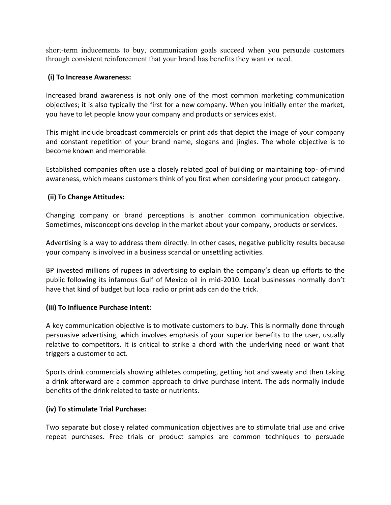short-term inducements to buy, communication goals succeed when you persuade customers through consistent reinforcement that your brand has benefits they want or need.

# **(i) To Increase Awareness:**

Increased brand awareness is not only one of the most common marketing communication objectives; it is also typically the first for a new company. When you initially enter the market, you have to let people know your company and products or services exist.

This might include broadcast commercials or print ads that depict the image of your company and constant repetition of your brand name, slogans and jingles. The whole objective is to become known and memorable.

Established companies often use a closely related goal of building or maintaining top- of-mind awareness, which means customers think of you first when considering your product category.

# **(ii) To Change Attitudes:**

Changing company or brand perceptions is another common communication objective. Sometimes, misconceptions develop in the market about your company, products or services.

Advertising is a way to address them directly. In other cases, negative publicity results because your company is involved in a business scandal or unsettling activities.

BP invested millions of rupees in advertising to explain the company's clean up efforts to the public following its infamous Gulf of Mexico oil in mid-2010. Local businesses normally don't have that kind of budget but local radio or print ads can do the trick.

### **(iii) To Influence Purchase Intent:**

A key communication objective is to motivate customers to buy. This is normally done through persuasive advertising, which involves emphasis of your superior benefits to the user, usually relative to competitors. It is critical to strike a chord with the underlying need or want that triggers a customer to act.

Sports drink commercials showing athletes competing, getting hot and sweaty and then taking a drink afterward are a common approach to drive purchase intent. The ads normally include benefits of the drink related to taste or nutrients.

### **(iv) To stimulate Trial Purchase:**

Two separate but closely related communication objectives are to stimulate trial use and drive repeat purchases. Free trials or product samples are common techniques to persuade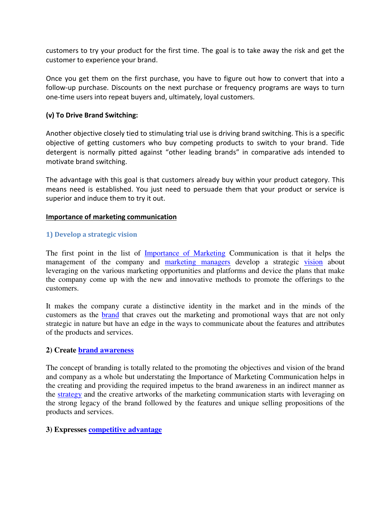customers to try your product for the first time. The goal is to take away the risk and get the customer to experience your brand.

Once you get them on the first purchase, you have to figure out how to convert that into a follow-up purchase. Discounts on the next purchase or frequency programs are ways to turn one-time users into repeat buyers and, ultimately, loyal customers.

## **(v) To Drive Brand Switching:**

Another objective closely tied to stimulating trial use is driving brand switching. This is a specific objective of getting customers who buy competing products to switch to your brand. Tide detergent is normally pitted against "other leading brands" in comparative ads intended to motivate brand switching.

The advantage with this goal is that customers already buy within your product category. This means need is established. You just need to persuade them that your product or service is superior and induce them to try it out.

#### **Importance of marketing communication**

### **1) Develop a strategic vision**

The first point in the list of [Importance of Marketing](https://www.marketing91.com/the-increasing-importance-of-marketing/) Communication is that it helps the management of the company and [marketing managers](https://www.marketing91.com/challenges-for-marketing-managers/) develop a strategic [vision](https://www.marketing91.com/vision/) about leveraging on the various marketing opportunities and platforms and device the plans that make the company come up with the new and innovative methods to promote the offerings to the customers.

It makes the company curate a distinctive identity in the market and in the minds of the customers as the [brand](https://www.marketing91.com/what-is-a-brand/) that craves out the marketing and promotional ways that are not only strategic in nature but have an edge in the ways to communicate about the features and attributes of the products and services.

### **2) Create [brand awareness](https://www.marketing91.com/brand-awareness/)**

The concept of branding is totally related to the promoting the objectives and vision of the brand and company as a whole but understating the Importance of Marketing Communication helps in the creating and providing the required impetus to the brand awareness in an indirect manner as the [strategy](https://www.marketing91.com/marketing-and-strategy-models-and-concepts/) and the creative artworks of the marketing communication starts with leveraging on the strong legacy of the brand followed by the features and unique selling propositions of the products and services.

### **3) Expresses [competitive advantage](https://www.marketing91.com/sustainable-competitive-advantage/)**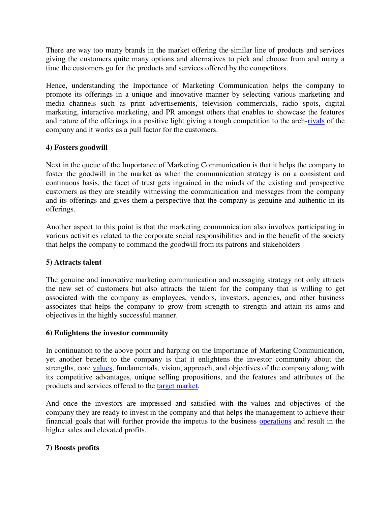There are way too many brands in the market offering the similar line of products and services giving the customers quite many options and alternatives to pick and choose from and many a time the customers go for the products and services offered by the competitors.

Hence, understanding the Importance of Marketing Communication helps the company to promote its offerings in a unique and innovative manner by selecting various marketing and media channels such as print advertisements, television commercials, radio spots, digital marketing, interactive marketing, and PR amongst others that enables to showcase the features and nature of the offerings in a positive light giving a tough competition to the arch[-rivals](https://www.marketing91.com/top-12-marketing-rivals-time/) of the company and it works as a pull factor for the customers.

# **4) Fosters goodwill**

Next in the queue of the Importance of Marketing Communication is that it helps the company to foster the goodwill in the market as when the communication strategy is on a consistent and continuous basis, the facet of trust gets ingrained in the minds of the existing and prospective customers as they are steadily witnessing the communication and messages from the company and its offerings and gives them a perspective that the company is genuine and authentic in its offerings.

Another aspect to this point is that the marketing communication also involves participating in various activities related to the corporate social responsibilities and in the benefit of the society that helps the company to command the goodwill from its patrons and stakeholders

# **5) Attracts talent**

The genuine and innovative marketing communication and messaging strategy not only attracts the new set of customers but also attracts the talent for the company that is willing to get associated with the company as employees, vendors, investors, agencies, and other business associates that helps the company to grow from strength to strength and attain its aims and objectives in the highly successful manner.

# **6) Enlightens the investor community**

In continuation to the above point and harping on the Importance of Marketing Communication, yet another benefit to the company is that it enlightens the investor community about the strengths, core [values,](https://www.marketing91.com/vals-values-attitude-lifestyle/) fundamentals, vision, approach, and objectives of the company along with its competitive advantages, unique selling propositions, and the features and attributes of the products and services offered to the [target market.](https://www.marketing91.com/target-market-find-one/)

And once the investors are impressed and satisfied with the values and objectives of the company they are ready to invest in the company and that helps the management to achieve their financial goals that will further provide the impetus to the business [operations](https://www.marketing91.com/operational-decisions/) and result in the higher sales and elevated profits.

# **7) Boosts profits**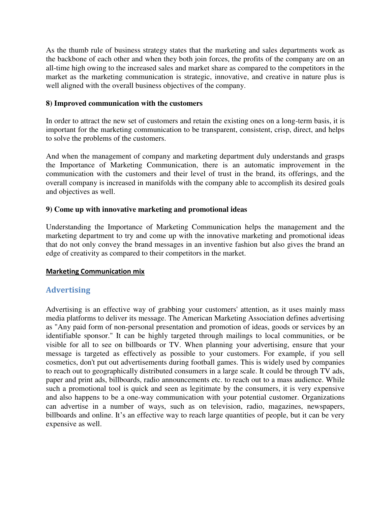As the thumb rule of business strategy states that the marketing and sales departments work as the backbone of each other and when they both join forces, the profits of the company are on an all-time high owing to the increased sales and market share as compared to the competitors in the market as the marketing communication is strategic, innovative, and creative in nature plus is well aligned with the overall business objectives of the company.

## **8) Improved communication with the customers**

In order to attract the new set of customers and retain the existing ones on a long-term basis, it is important for the marketing communication to be transparent, consistent, crisp, direct, and helps to solve the problems of the customers.

And when the management of company and marketing department duly understands and grasps the Importance of Marketing Communication, there is an automatic improvement in the communication with the customers and their level of trust in the brand, its offerings, and the overall company is increased in manifolds with the company able to accomplish its desired goals and objectives as well.

# **9) Come up with innovative marketing and promotional ideas**

Understanding the Importance of Marketing Communication helps the management and the marketing department to try and come up with the innovative marketing and promotional ideas that do not only convey the brand messages in an inventive fashion but also gives the brand an edge of creativity as compared to their competitors in the market.

### **Marketing Communication mix**

# **Advertising**

Advertising is an effective way of grabbing your customers' attention, as it uses mainly mass media platforms to deliver its message. The American Marketing Association defines advertising as "Any paid form of non-personal presentation and promotion of ideas, goods or services by an identifiable sponsor." It can be highly targeted through mailings to local communities, or be visible for all to see on billboards or TV. When planning your advertising, ensure that your message is targeted as effectively as possible to your customers. For example, if you sell cosmetics, don't put out advertisements during football games. This is widely used by companies to reach out to geographically distributed consumers in a large scale. It could be through TV ads, paper and print ads, billboards, radio announcements etc. to reach out to a mass audience. While such a promotional tool is quick and seen as legitimate by the consumers, it is very expensive and also happens to be a one-way communication with your potential customer. Organizations can advertise in a number of ways, such as on television, radio, magazines, newspapers, billboards and online. It's an effective way to reach large quantities of people, but it can be very expensive as well.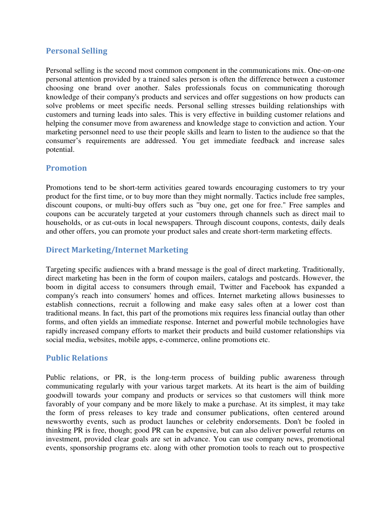# **Personal Selling**

Personal selling is the second most common component in the communications mix. One-on-one personal attention provided by a trained sales person is often the difference between a customer choosing one brand over another. Sales professionals focus on communicating thorough knowledge of their company's products and services and offer suggestions on how products can solve problems or meet specific needs. Personal selling stresses building relationships with customers and turning leads into sales. This is very effective in building customer relations and helping the consumer move from awareness and knowledge stage to conviction and action. Your marketing personnel need to use their people skills and learn to listen to the audience so that the consumer's requirements are addressed. You get immediate feedback and increase sales potential.

# **Promotion**

Promotions tend to be short-term activities geared towards encouraging customers to try your product for the first time, or to buy more than they might normally. Tactics include free samples, discount coupons, or multi-buy offers such as "buy one, get one for free." Free samples and coupons can be accurately targeted at your customers through channels such as direct mail to households, or as cut-outs in local newspapers. Through discount coupons, contests, daily deals and other offers, you can promote your product sales and create short-term marketing effects.

# **Direct Marketing/Internet Marketing**

Targeting specific audiences with a brand message is the goal of direct marketing. Traditionally, direct marketing has been in the form of coupon mailers, catalogs and postcards. However, the boom in digital access to consumers through email, Twitter and Facebook has expanded a company's reach into consumers' homes and offices. Internet marketing allows businesses to establish connections, recruit a following and make easy sales often at a lower cost than traditional means. In fact, this part of the promotions mix requires less financial outlay than other forms, and often yields an immediate response. Internet and powerful mobile technologies have rapidly increased company efforts to market their products and build customer relationships via social media, websites, mobile apps, e-commerce, online promotions etc.

# **Public Relations**

Public relations, or PR, is the long-term process of building public awareness through communicating regularly with your various target markets. At its heart is the aim of building goodwill towards your company and products or services so that customers will think more favorably of your company and be more likely to make a purchase. At its simplest, it may take the form of press releases to key trade and consumer publications, often centered around newsworthy events, such as product launches or celebrity endorsements. Don't be fooled in thinking PR is free, though; good PR can be expensive, but can also deliver powerful returns on investment, provided clear goals are set in advance. You can use company news, promotional events, sponsorship programs etc. along with other promotion tools to reach out to prospective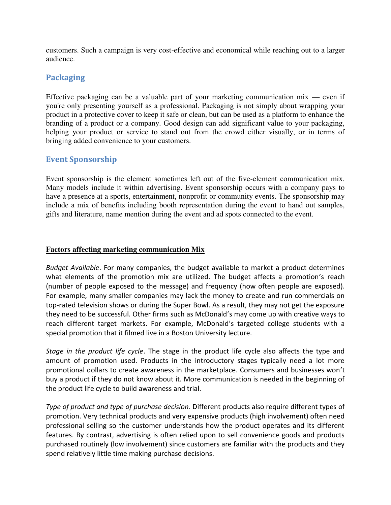customers. Such a campaign is very cost-effective and economical while reaching out to a larger audience.

# **Packaging**

Effective packaging can be a valuable part of your marketing communication mix — even if you're only presenting yourself as a professional. Packaging is not simply about wrapping your product in a protective cover to keep it safe or clean, but can be used as a platform to enhance the branding of a product or a company. Good design can add significant value to your packaging, helping your product or service to stand out from the crowd either visually, or in terms of bringing added convenience to your customers.

# **Event Sponsorship**

Event sponsorship is the element sometimes left out of the five-element communication mix. Many models include it within advertising. Event sponsorship occurs with a company pays to have a presence at a sports, entertainment, nonprofit or community events. The sponsorship may include a mix of benefits including booth representation during the event to hand out samples, gifts and literature, name mention during the event and ad spots connected to the event.

## **Factors affecting marketing communication Mix**

*Budget Available*. For many companies, the budget available to market a product determines what elements of the promotion mix are utilized. The budget affects a promotion's reach (number of people exposed to the message) and frequency (how often people are exposed). For example, many smaller companies may lack the money to create and run commercials on top-rated television shows or during the Super Bowl. As a result, they may not get the exposure they need to be successful. Other firms such as McDonald's may come up with creative ways to reach different target markets. For example, McDonald's targeted college students with a special promotion that it filmed live in a Boston University lecture.

*Stage in the product life cycle*. The stage in the product life cycle also affects the type and amount of promotion used. Products in the introductory stages typically need a lot more promotional dollars to create awareness in the marketplace. Consumers and businesses won't buy a product if they do not know about it. More communication is needed in the beginning of the product life cycle to build awareness and trial.

*Type of product and type of purchase decision*. Different products also require different types of promotion. Very technical products and very expensive products (high involvement) often need professional selling so the customer understands how the product operates and its different features. By contrast, advertising is often relied upon to sell convenience goods and products purchased routinely (low involvement) since customers are familiar with the products and they spend relatively little time making purchase decisions.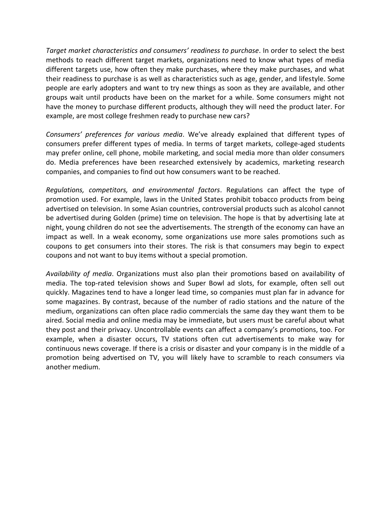*Target market characteristics and consumers' readiness to purchase*. In order to select the best methods to reach different target markets, organizations need to know what types of media different targets use, how often they make purchases, where they make purchases, and what their readiness to purchase is as well as characteristics such as age, gender, and lifestyle. Some people are early adopters and want to try new things as soon as they are available, and other groups wait until products have been on the market for a while. Some consumers might not have the money to purchase different products, although they will need the product later. For example, are most college freshmen ready to purchase new cars?

*Consumers' preferences for various media*. We've already explained that different types of consumers prefer different types of media. In terms of target markets, college-aged students may prefer online, cell phone, mobile marketing, and social media more than older consumers do. Media preferences have been researched extensively by academics, marketing research companies, and companies to find out how consumers want to be reached.

*Regulations, competitors, and environmental factors*. Regulations can affect the type of promotion used. For example, laws in the United States prohibit tobacco products from being advertised on television. In some Asian countries, controversial products such as alcohol cannot be advertised during Golden (prime) time on television. The hope is that by advertising late at night, young children do not see the advertisements. The strength of the economy can have an impact as well. In a weak economy, some organizations use more sales promotions such as coupons to get consumers into their stores. The risk is that consumers may begin to expect coupons and not want to buy items without a special promotion.

*Availability of media*. Organizations must also plan their promotions based on availability of media. The top-rated television shows and Super Bowl ad slots, for example, often sell out quickly. Magazines tend to have a longer lead time, so companies must plan far in advance for some magazines. By contrast, because of the number of radio stations and the nature of the medium, organizations can often place radio commercials the same day they want them to be aired. Social media and online media may be immediate, but users must be careful about what they post and their privacy. Uncontrollable events can affect a company's promotions, too. For example, when a disaster occurs, TV stations often cut advertisements to make way for continuous news coverage. If there is a crisis or disaster and your company is in the middle of a promotion being advertised on TV, you will likely have to scramble to reach consumers via another medium.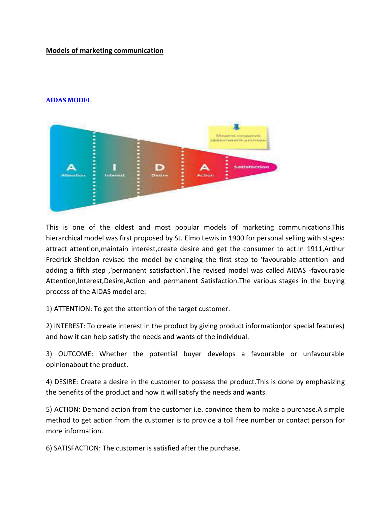# **Models of marketing communication**

# **[AIDAS MODEL](http://marketingcommunicationmodels.blogspot.com/2008/07/aidas-model_16.html)**



This is one of the oldest and most popular models of marketing communications.This hierarchical model was first proposed by St. Elmo Lewis in 1900 for personal selling with stages: attract attention,maintain interest,create desire and get the consumer to act.In 1911,Arthur Fredrick Sheldon revised the model by changing the first step to 'favourable attention' and adding a fifth step ,'permanent satisfaction'.The revised model was called AIDAS -favourable Attention,Interest,Desire,Action and permanent Satisfaction.The various stages in the buying process of the AIDAS model are:

1) ATTENTION: To get the attention of the target customer.

2) INTEREST: To create interest in the product by giving product information(or special features) and how it can help satisfy the needs and wants of the individual.

3) OUTCOME: Whether the potential buyer develops a favourable or unfavourable opinionabout the product.

4) DESIRE: Create a desire in the customer to possess the product.This is done by emphasizing the benefits of the product and how it will satisfy the needs and wants.

5) ACTION: Demand action from the customer i.e. convince them to make a purchase.A simple method to get action from the customer is to provide a toll free number or contact person for more information.

6) SATISFACTION: The customer is satisfied after the purchase.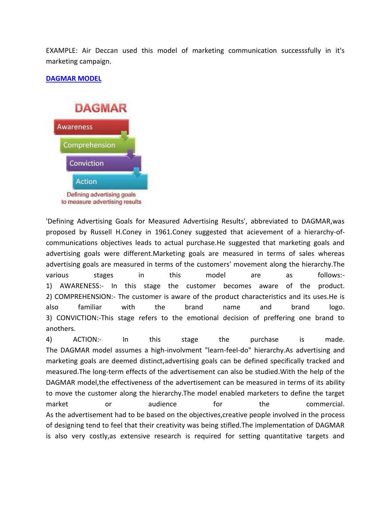EXAMPLE: Air Deccan used this model of marketing communication successsfully in it's marketing campaign.

### **[DAGMAR MODEL](http://marketingcommunicationmodels.blogspot.com/2008/07/dagmar-model.html)**



'Defining Advertising Goals for Measured Advertising Results', abbreviated to DAGMAR,was proposed by Russell H.Coney in 1961.Coney suggested that acievement of a hierarchy-ofcommunications objectives leads to actual purchase.He suggested that marketing goals and advertising goals were different.Marketing goals are measured in terms of sales whereas advertising goals are measured in terms of the customers' movement along the hierarchy.The various stages in this model are as follows:- 1) AWARENESS:- In this stage the customer becomes aware of the product. 2) COMPREHENSION:- The customer is aware of the product characteristics and its uses.He is also familiar with the brand name and brand logo. 3) CONVICTION:-This stage refers to the emotional decision of preffering one brand to anothers.

4) ACTION:- In this stage the purchase is made. The DAGMAR model assumes a high-involvment "learn-feel-do" hierarchy.As advertising and marketing goals are deemed distinct,advertising goals can be defined specifically tracked and measured.The long-term effects of the advertisement can also be studied.With the help of the DAGMAR model,the effectiveness of the advertisement can be measured in terms of its ability to move the customer along the hierarchy.The model enabled marketers to define the target market or audience for the commercial. As the advertisement had to be based on the objectives,creative people involved in the process of designing tend to feel that their creativity was being stifled.The implementation of DAGMAR is also very costly,as extensive research is required for setting quantitative targets and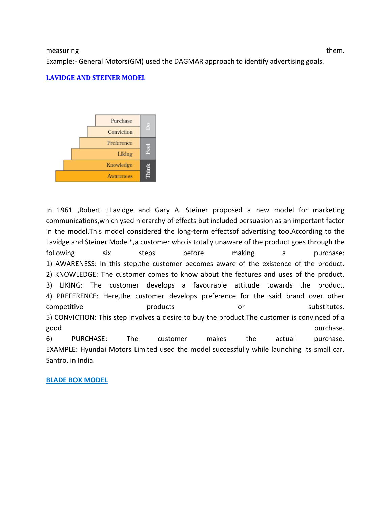#### measuring them. The matrix of them is a state of the matrix of them.

Example:- General Motors(GM) used the DAGMAR approach to identify advertising goals.

#### **[LAVIDGE AND STEINER MODEL](http://marketingcommunicationmodels.blogspot.com/2008/07/lavidge-and-steiner-model.html)**



In 1961 ,Robert J.Lavidge and Gary A. Steiner proposed a new model for marketing communications,which ysed hierarchy of effects but included persuasion as an important factor in the model.This model considered the long-term effectsof advertising too.According to the Lavidge and Steiner Model\*,a customer who is totally unaware of the product goes through the following six steps before making a purchase: 1) AWARENESS: In this step,the customer becomes aware of the existence of the product. 2) KNOWLEDGE: The customer comes to know about the features and uses of the product. 3) LIKING: The customer develops a favourable attitude towards the product. 4) PREFERENCE: Here,the customer develops preference for the said brand over other competitive **products** or substitutes. 5) CONVICTION: This step involves a desire to buy the product.The customer is convinced of a good purchase. 6) PURCHASE: The customer makes the actual purchase. EXAMPLE: Hyundai Motors Limited used the model successfully while launching its small car, Santro, in India.

#### **BLADE BOX MODEL**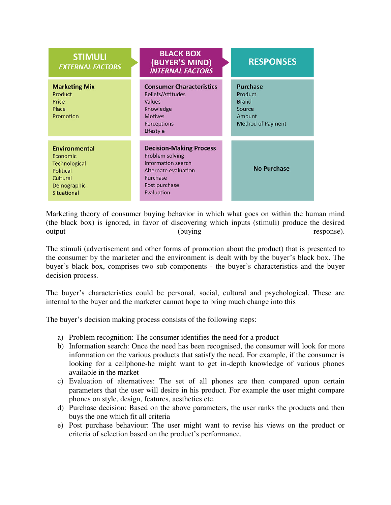| <b>STIMULI</b><br><b>EXTERNAL FACTORS</b>                                                                | <b>BLACK BOX</b><br>(BUYER'S MIND)<br><b>INTERNAL FACTORS</b>                                                                              | <b>RESPONSES</b>                                                                           |
|----------------------------------------------------------------------------------------------------------|--------------------------------------------------------------------------------------------------------------------------------------------|--------------------------------------------------------------------------------------------|
| <b>Marketing Mix</b><br>Product<br>Price<br>Place<br>Promotion                                           | <b>Consumer Characteristics</b><br><b>Beliefs/Attitudes</b><br>Values<br>Knowledge<br><b>Motives</b><br>Perceptions<br>Lifestyle           | <b>Purchase</b><br>Product<br><b>Brand</b><br>Source<br>Amount<br><b>Method of Payment</b> |
| <b>Environmental</b><br>Economic<br>Technological<br>Political<br>Cultural<br>Demographic<br>Situational | <b>Decision-Making Process</b><br>Problem solving<br>Information search<br>Alternate evaluation<br>Purchase<br>Post purchase<br>Evaluation | <b>No Purchase</b>                                                                         |

Marketing theory of consumer buying behavior in which what goes on within the human mind (the black box) is ignored, in favor of discovering which inputs (stimuli) produce the desired output (buying response).

The stimuli (advertisement and other forms of promotion about the product) that is presented to the consumer by the marketer and the environment is dealt with by the buyer's black box. The buyer's black box, comprises two sub components - the buyer's characteristics and the buyer decision process.

The buyer's characteristics could be personal, social, cultural and psychological. These are internal to the buyer and the marketer cannot hope to bring much change into this

The buyer's decision making process consists of the following steps:

- a) Problem recognition: The consumer identifies the need for a product
- b) Information search: Once the need has been recognised, the consumer will look for more information on the various products that satisfy the need. For example, if the consumer is looking for a cellphone-he might want to get in-depth knowledge of various phones available in the market
- c) Evaluation of alternatives: The set of all phones are then compared upon certain parameters that the user will desire in his product. For example the user might compare phones on style, design, features, aesthetics etc.
- d) Purchase decision: Based on the above parameters, the user ranks the products and then buys the one which fit all criteria
- e) Post purchase behaviour: The user might want to revise his views on the product or criteria of selection based on the product's performance.